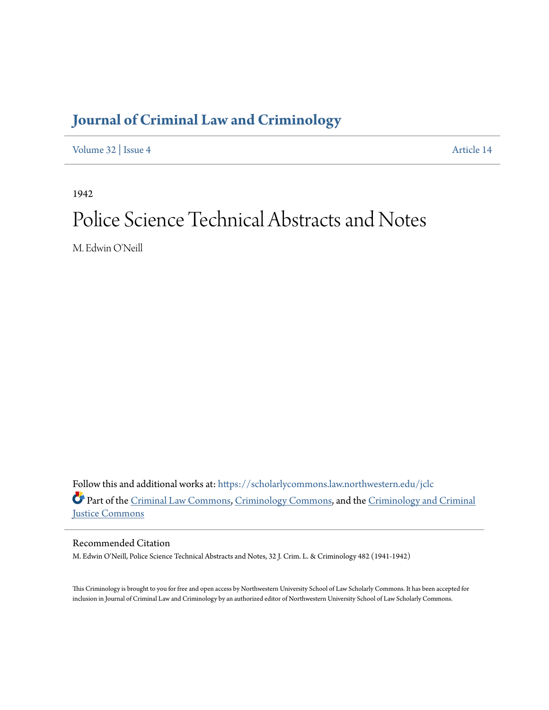## **[Journal of Criminal Law and Criminology](https://scholarlycommons.law.northwestern.edu/jclc?utm_source=scholarlycommons.law.northwestern.edu%2Fjclc%2Fvol32%2Fiss4%2F14&utm_medium=PDF&utm_campaign=PDFCoverPages)**

[Volume 32](https://scholarlycommons.law.northwestern.edu/jclc/vol32?utm_source=scholarlycommons.law.northwestern.edu%2Fjclc%2Fvol32%2Fiss4%2F14&utm_medium=PDF&utm_campaign=PDFCoverPages) | [Issue 4](https://scholarlycommons.law.northwestern.edu/jclc/vol32/iss4?utm_source=scholarlycommons.law.northwestern.edu%2Fjclc%2Fvol32%2Fiss4%2F14&utm_medium=PDF&utm_campaign=PDFCoverPages) [Article 14](https://scholarlycommons.law.northwestern.edu/jclc/vol32/iss4/14?utm_source=scholarlycommons.law.northwestern.edu%2Fjclc%2Fvol32%2Fiss4%2F14&utm_medium=PDF&utm_campaign=PDFCoverPages)

1942

## Police Science Technical Abstracts and Notes

M. Edwin O'Neill

Follow this and additional works at: [https://scholarlycommons.law.northwestern.edu/jclc](https://scholarlycommons.law.northwestern.edu/jclc?utm_source=scholarlycommons.law.northwestern.edu%2Fjclc%2Fvol32%2Fiss4%2F14&utm_medium=PDF&utm_campaign=PDFCoverPages) Part of the [Criminal Law Commons](http://network.bepress.com/hgg/discipline/912?utm_source=scholarlycommons.law.northwestern.edu%2Fjclc%2Fvol32%2Fiss4%2F14&utm_medium=PDF&utm_campaign=PDFCoverPages), [Criminology Commons](http://network.bepress.com/hgg/discipline/417?utm_source=scholarlycommons.law.northwestern.edu%2Fjclc%2Fvol32%2Fiss4%2F14&utm_medium=PDF&utm_campaign=PDFCoverPages), and the [Criminology and Criminal](http://network.bepress.com/hgg/discipline/367?utm_source=scholarlycommons.law.northwestern.edu%2Fjclc%2Fvol32%2Fiss4%2F14&utm_medium=PDF&utm_campaign=PDFCoverPages) [Justice Commons](http://network.bepress.com/hgg/discipline/367?utm_source=scholarlycommons.law.northwestern.edu%2Fjclc%2Fvol32%2Fiss4%2F14&utm_medium=PDF&utm_campaign=PDFCoverPages)

Recommended Citation

M. Edwin O'Neill, Police Science Technical Abstracts and Notes, 32 J. Crim. L. & Criminology 482 (1941-1942)

This Criminology is brought to you for free and open access by Northwestern University School of Law Scholarly Commons. It has been accepted for inclusion in Journal of Criminal Law and Criminology by an authorized editor of Northwestern University School of Law Scholarly Commons.